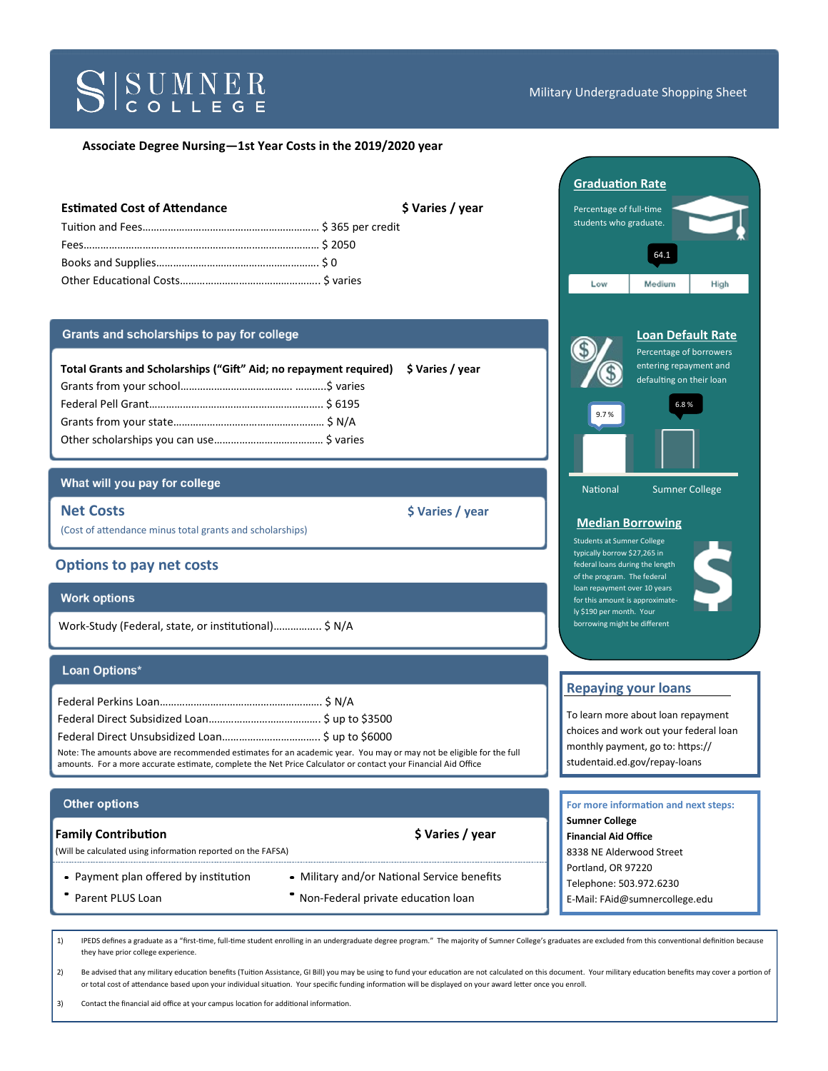# SSUMNER

#### Military Undergraduate Shopping Sheet

## **Associate Degree Nursing—1st Year Costs in the 2019/2020 year**

| <b>Estimated Cost of Attendance</b> | \$ Varies / year |
|-------------------------------------|------------------|
|                                     |                  |
|                                     |                  |
|                                     |                  |
|                                     |                  |

## Grants and scholarships to pay for college

| Total Grants and Scholarships ("Gift" Aid; no repayment required) \$ Varies / year |  |  |
|------------------------------------------------------------------------------------|--|--|
|                                                                                    |  |  |
|                                                                                    |  |  |
|                                                                                    |  |  |
|                                                                                    |  |  |

## What will you pay for college

**Net Costs**  $\angle$  year

(Cost of attendance minus total grants and scholarships)

## **Options to pay net costs**

## **Work options**

Work-Study (Federal, state, or institutional)…………….. \$ N/A

#### Loan Options\*

| Note: The amounts above are recommended estimates for an academic year. You may or may not be eligible for the full |  |
|---------------------------------------------------------------------------------------------------------------------|--|
| amounts. For a more accurate estimate, complete the Net Price Calculator or contact your Financial Aid Office       |  |

#### **Other options**

#### **Family Contribution 6 Contribution 6 Contribution 6 Contribution 6 Contribution 6 Contribution 6 Contribution**

(Will be calculated using information reported on the FAFSA)

- 
- 
- Payment plan offered by institution Military and/or National Service benefits
	- Parent PLUS Loan **Non-Federal private education loan**



2) Be advised that any military education benefits (Tuition Assistance, GI Bill) you may be using to fund your education are not calculated on this document. Your military education benefits may cover a portion of or total cost of attendance based upon your individual situation. Your specific funding information will be displayed on your award letter once you enroll.

3) Contact the financial aid office at your campus location for additional information.



typically borrow \$27,265 in federal loans during the length of the program. The federal loan repayment over 10 years for this amount is approximately \$190 per month. Your borrowing might be different



# **Repaying your loans**

To learn more about loan repayment choices and work out your federal loan monthly payment, go to: https:// studentaid.ed.gov/repay-loans

| For more information and next steps: |
|--------------------------------------|
| <b>Sumner College</b>                |
| <b>Financial Aid Office</b>          |
| 8338 NE Alderwood Street             |
| Portland, OR 97220                   |
| Telephone: 503.972.6230              |
| E-Mail: FAid@sumnercollege.edu       |